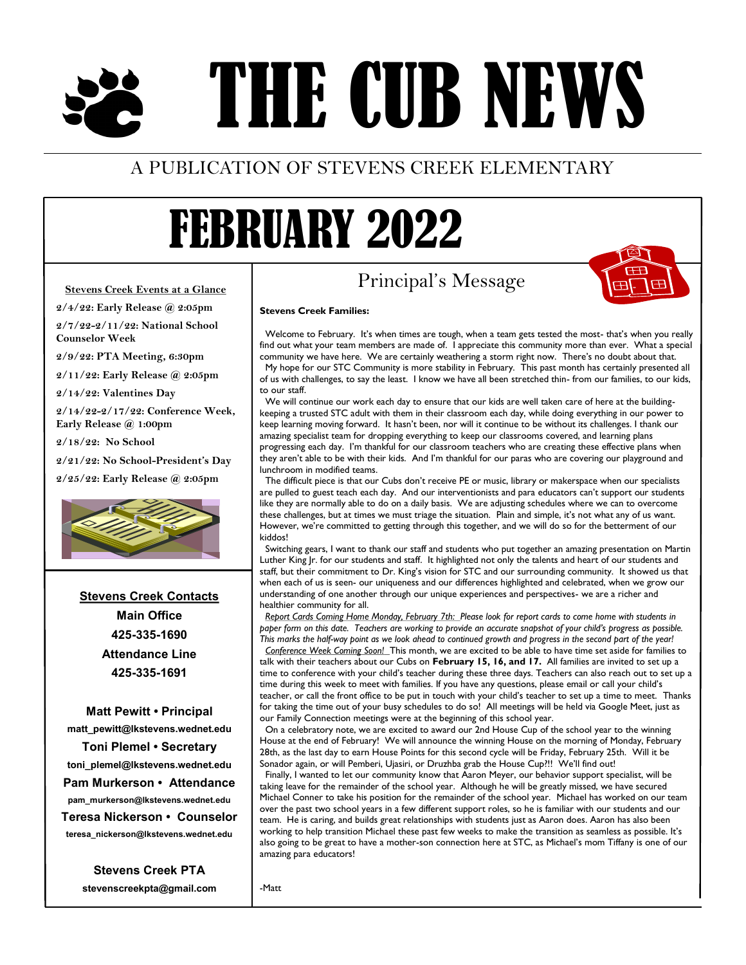# THE CUB NEWS

### A PUBLICATION OF STEVENS CREEK ELEMENTARY

## FEBRUARY 2022

**Stevens Creek Families:**

#### **Stevens Creek Events at a Glance**

**2/4/22: Early Release @ 2:05pm 2/7/22-2/11/22: National School Counselor Week**

**2/9/22: PTA Meeting, 6:30pm**

**2/11/22: Early Release @ 2:05pm**

**2/14/22: Valentines Day**

**2/14/22-2/17/22: Conference Week, Early Release @ 1:00pm**

**2/18/22: No School**

**2/21/22: No School-President's Day**

**2/25/22: Early Release @ 2:05pm**



**Stevens Creek Contacts Main Office 425-335-1690 Attendance Line 425-335-1691**

**Matt Pewitt • Principal matt\_pewitt@lkstevens.wednet.edu Toni Plemel • Secretary toni\_plemel@lkstevens.wednet.edu Pam Murkerson • Attendance pam\_murkerson@lkstevens.wednet.edu Teresa Nickerson • Counselor teresa\_nickerson@lkstevens.wednet.edu**

> **Stevens Creek PTA stevenscreekpta@gmail.com**

### Principal's Message

 Welcome to February. It's when times are tough, when a team gets tested the most- that's when you really find out what your team members are made of. I appreciate this community more than ever. What a special community we have here. We are certainly weathering a storm right now. There's no doubt about that. My hope for our STC Community is more stability in February. This past month has certainly presented all of us with challenges, to say the least. I know we have all been stretched thin- from our families, to our kids, to our staff.

We will continue our work each day to ensure that our kids are well taken care of here at the buildingkeeping a trusted STC adult with them in their classroom each day, while doing everything in our power to keep learning moving forward. It hasn't been, nor will it continue to be without its challenges. I thank our amazing specialist team for dropping everything to keep our classrooms covered, and learning plans progressing each day. I'm thankful for our classroom teachers who are creating these effective plans when they aren't able to be with their kids. And I'm thankful for our paras who are covering our playground and lunchroom in modified teams.

The difficult piece is that our Cubs don't receive PE or music, library or makerspace when our specialists are pulled to guest teach each day. And our interventionists and para educators can't support our students like they are normally able to do on a daily basis. We are adjusting schedules where we can to overcome these challenges, but at times we must triage the situation. Plain and simple, it's not what any of us want. However, we're committed to getting through this together, and we will do so for the betterment of our kiddos!

Switching gears, I want to thank our staff and students who put together an amazing presentation on Martin Luther King Jr. for our students and staff. It highlighted not only the talents and heart of our students and staff, but their commitment to Dr. King's vision for STC and our surrounding community. It showed us that when each of us is seen- our uniqueness and our differences highlighted and celebrated, when we grow our understanding of one another through our unique experiences and perspectives- we are a richer and healthier community for all.

*Report Cards Coming Home Monday, February 7th: Please look for report cards to come home with students in paper form on this date. Teachers are working to provide an accurate snapshot of your child's progress as possible. This marks the half-way point as we look ahead to continued growth and progress in the second part of the year!* *Conference Week Coming Soon!*This month, we are excited to be able to have time set aside for families to talk with their teachers about our Cubs on **February 15, 16, and 17.** All families are invited to set up a time to conference with your child's teacher during these three days. Teachers can also reach out to set up a time during this week to meet with families. If you have any questions, please email or call your child's teacher, or call the front office to be put in touch with your child's teacher to set up a time to meet. Thanks for taking the time out of your busy schedules to do so! All meetings will be held via Google Meet, just as our Family Connection meetings were at the beginning of this school year.

On a celebratory note, we are excited to award our 2nd House Cup of the school year to the winning House at the end of February! We will announce the winning House on the morning of Monday, February 28th, as the last day to earn House Points for this second cycle will be Friday, February 25th. Will it be Sonador again, or will Pemberi, Ujasiri, or Druzhba grab the House Cup?!! We'll find out!

Finally, I wanted to let our community know that Aaron Meyer, our behavior support specialist, will be taking leave for the remainder of the school year. Although he will be greatly missed, we have secured Michael Conner to take his position for the remainder of the school year. Michael has worked on our team over the past two school years in a few different support roles, so he is familiar with our students and our team. He is caring, and builds great relationships with students just as Aaron does. Aaron has also been working to help transition Michael these past few weeks to make the transition as seamless as possible. It's also going to be great to have a mother-son connection here at STC, as Michael's mom Tiffany is one of our amazing para educators!

-Matt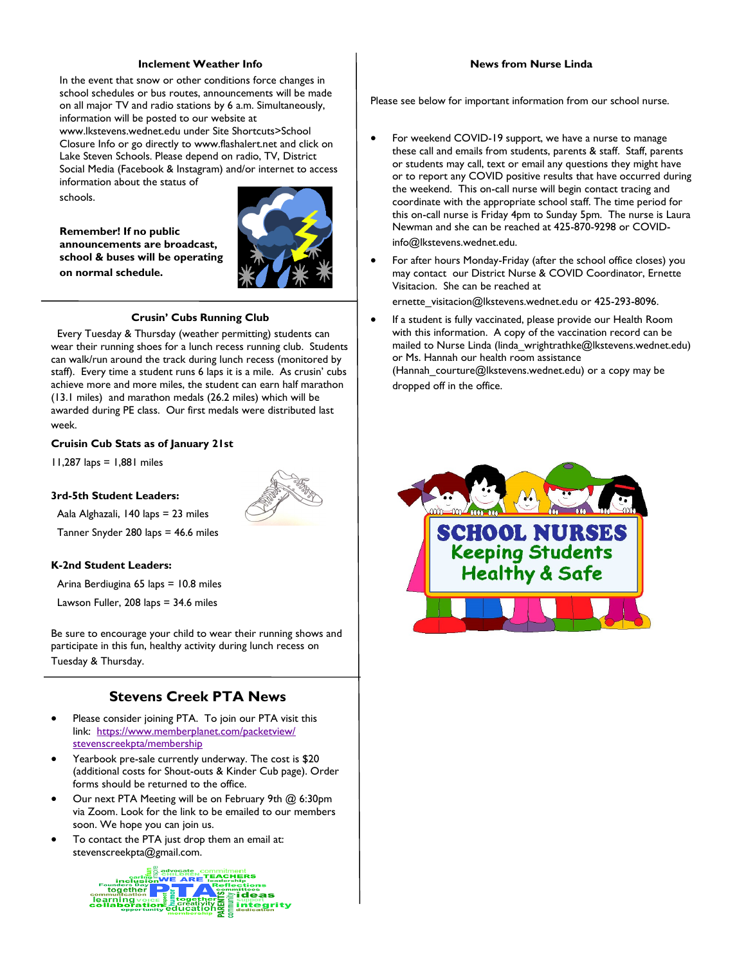#### **Inclement Weather Info**

In the event that snow or other conditions force changes in school schedules or bus routes, announcements will be made on all major TV and radio stations by 6 a.m. Simultaneously, information will be posted to our website at www.lkstevens.wednet.edu under Site Shortcuts>School Closure Info or go directly to www.flashalert.net and click on Lake Steven Schools. Please depend on radio, TV, District Social Media (Facebook & Instagram) and/or internet to access

information about the status of schools.

**Remember! If no public announcements are broadcast, school & buses will be operating on normal schedule.** 



#### **Crusin' Cubs Running Club**

 Every Tuesday & Thursday (weather permitting) students can wear their running shoes for a lunch recess running club. Students can walk/run around the track during lunch recess (monitored by staff). Every time a student runs 6 laps it is a mile. As crusin' cubs achieve more and more miles, the student can earn half marathon (13.1 miles) and marathon medals (26.2 miles) which will be awarded during PE class. Our first medals were distributed last week.

**Cruisin Cub Stats as of January 21st**

11,287 laps = 1,881 miles

#### **3rd-5th Student Leaders:**

Aala Alghazali, 140 laps = 23 miles

Tanner Snyder 280 laps = 46.6 miles

#### **K-2nd Student Leaders:**

Arina Berdiugina 65 laps = 10.8 miles

Lawson Fuller, 208 laps = 34.6 miles

Be sure to encourage your child to wear their running shows and participate in this fun, healthy activity during lunch recess on Tuesday & Thursday.

#### **Stevens Creek PTA News**

- Please consider joining PTA. To join our PTA visit this link: [https://www.memberplanet.com/packetview/](https://www.memberplanet.com/packetview/stevenscreekpta/membership) [stevenscreekpta/membership](https://www.memberplanet.com/packetview/stevenscreekpta/membership)
- Yearbook pre-sale currently underway. The cost is \$20 (additional costs for Shout-outs & Kinder Cub page). Order forms should be returned to the office.
- Our next PTA Meeting will be on February 9th @ 6:30pm via Zoom. Look for the link to be emailed to our members soon. We hope you can join us.
- To contact the PTA just drop them an email at: stevenscreekpta@gmail.com.

**TEACHERS** together ideas **learning integrity** 

#### **News from Nurse Linda**

Please see below for important information from our school nurse.

- For weekend COVID-19 support, we have a nurse to manage these call and emails from students, parents & staff. Staff, parents or students may call, text or email any questions they might have or to report any COVID positive results that have occurred during the weekend. This on-call nurse will begin contact tracing and coordinate with the appropriate school staff. The time period for this on-call nurse is Friday 4pm to Sunday 5pm. The nurse is Laura Newman and she can be reached at 425-870-9298 or COVIDinfo@lkstevens.wednet.edu.
- For after hours Monday-Friday (after the school office closes) you may contact our District Nurse & COVID Coordinator, Ernette Visitacion. She can be reached at

ernette\_visitacion@lkstevens.wednet.edu or 425-293-8096.

 If a student is fully vaccinated, please provide our Health Room with this information. A copy of the vaccination record can be mailed to Nurse Linda (linda\_wrightrathke@lkstevens.wednet.edu) or Ms. Hannah our health room assistance (Hannah courture@lkstevens.wednet.edu) or a copy may be dropped off in the office.